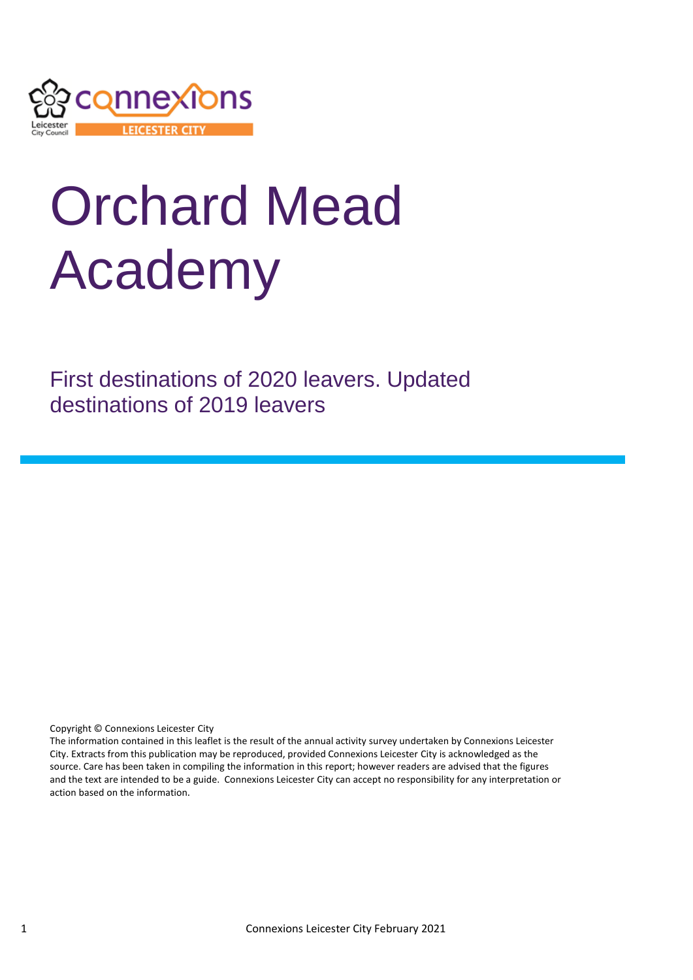

# Orchard Mead Academy

First destinations of 2020 leavers. Updated destinations of 2019 leavers

Copyright © Connexions Leicester City

The information contained in this leaflet is the result of the annual activity survey undertaken by Connexions Leicester City. Extracts from this publication may be reproduced, provided Connexions Leicester City is acknowledged as the source. Care has been taken in compiling the information in this report; however readers are advised that the figures and the text are intended to be a guide. Connexions Leicester City can accept no responsibility for any interpretation or action based on the information.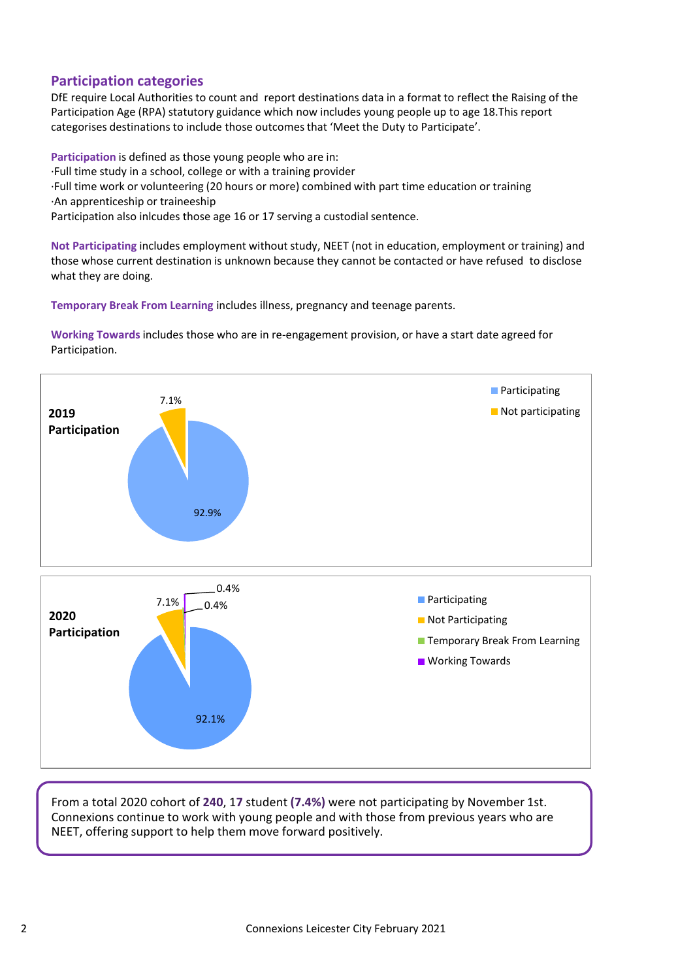# **Participation categories**

DfE require Local Authorities to count and report destinations data in a format to reflect the Raising of the Participation Age (RPA) statutory guidance which now includes young people up to age 18.This report categorises destinations to include those outcomes that 'Meet the Duty to Participate'.

**Participation** is defined as those young people who are in: ·Full time study in a school, college or with a training provider ·Full time work or volunteering (20 hours or more) combined with part time education or training ·An apprenticeship or traineeship Participation also inlcudes those age 16 or 17 serving a custodial sentence.

**Not Participating** includes employment without study, NEET (not in education, employment or training) and those whose current destination is unknown because they cannot be contacted or have refused to disclose what they are doing.

**Temporary Break From Learning** includes illness, pregnancy and teenage parents.

**Working Towards** includes those who are in re-engagement provision, or have a start date agreed for Participation.



From a total 2020 cohort of **240**, 1**7** student **(7.4%)** were not participating by November 1st. Connexions continue to work with young people and with those from previous years who are NEET, offering support to help them move forward positively.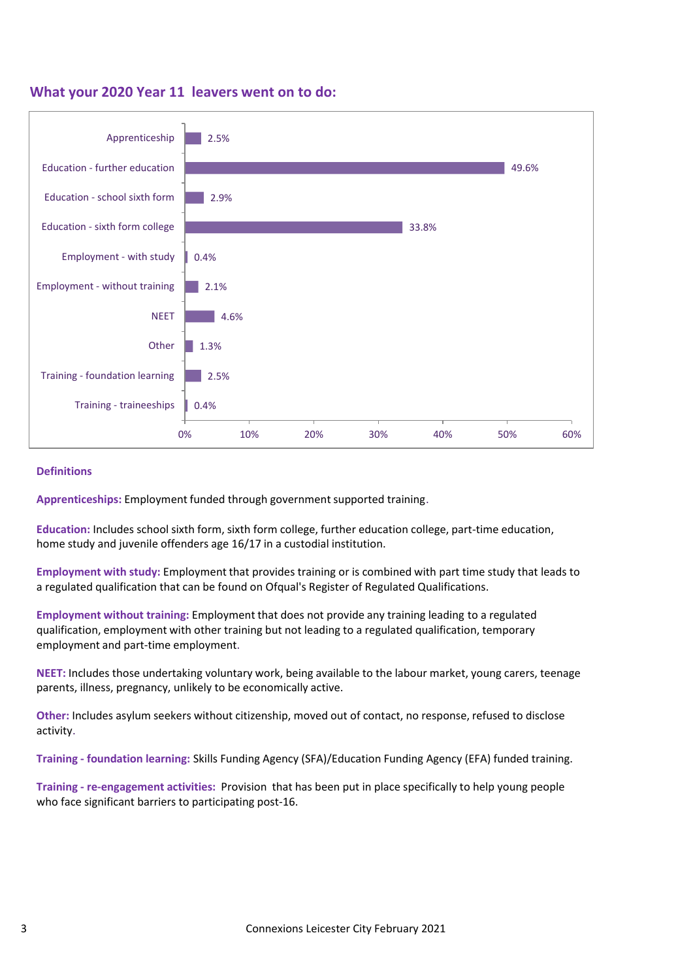#### **What your 2020 Year 11 leavers went on to do:**



#### **Definitions**

**Apprenticeships:** Employment funded through government supported training.

**Education:** Includes school sixth form, sixth form college, further education college, part-time education, home study and juvenile offenders age 16/17 in a custodial institution.

**Employment with study:** Employment that provides training or is combined with part time study that leads to a regulated qualification that can be found on Ofqual's Register of Regulated Qualifications.

**Employment without training:** Employment that does not provide any training leading to a regulated qualification, employment with other training but not leading to a regulated qualification, temporary employment and part-time employment.

**NEET:** Includes those undertaking voluntary work, being available to the labour market, young carers, teenage parents, illness, pregnancy, unlikely to be economically active.

**Other:** Includes asylum seekers without citizenship, moved out of contact, no response, refused to disclose activity.

**Training - foundation learning:** Skills Funding Agency (SFA)/Education Funding Agency (EFA) funded training.

**Training - re-engagement activities:** Provision that has been put in place specifically to help young people who face significant barriers to participating post-16.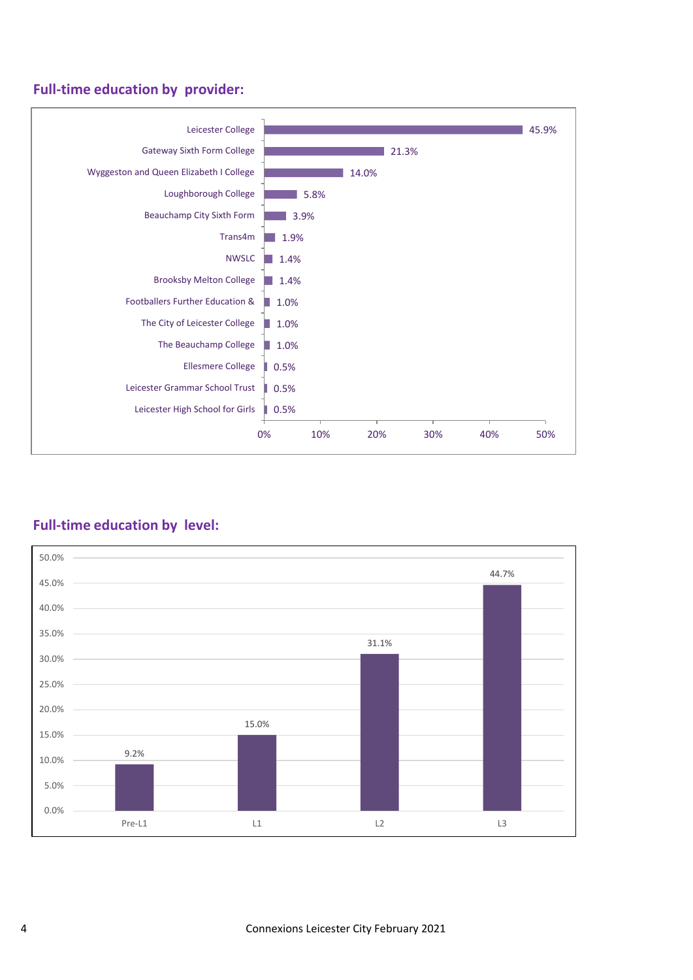# **Full-time education by provider:**



# **Full-time education by level:**